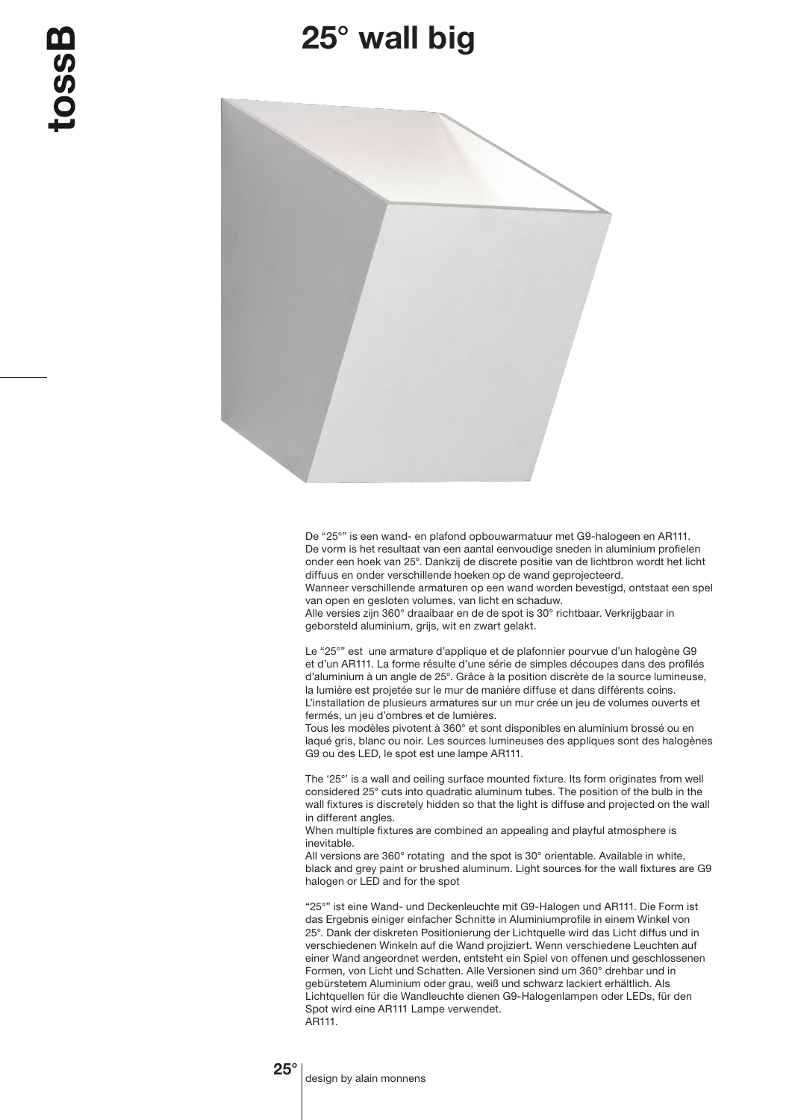## 25° wall big



De "25°" is een wand- en plafond opbouwarmatuur met G9-halogeen en AR111. De vorm is het resultaat van een aantal eenvoudige sneden in aluminium profielen onder een hoek van 25°. Dankzij de discrete positie van de lichtbron wordt het licht diffuus en onder verschillende hoeken op de wand geprojecteerd.

Wanneer verschillende armaturen op een wand worden bevestigd, ontstaat een spel van open en gesloten volumes, van licht en schaduw.

Alle versies zijn 360° draaibaar en de de spot is 30° richtbaar. Verkrijgbaar in geborsteld aluminium, grijs, wit en zwart gelakt.

Le "25°" est une armature d'applique et de plafonnier pourvue d'un halogène G9 et d'un AR111. La forme résulte d'une série de simples découpes dans des profilés d'aluminium à un angle de 25°. Grâce à la position discrète de la source lumineuse, la lumière est projetée sur le mur de manière diffuse et dans différents coins. L'installation de plusieurs armatures sur un mur crée un jeu de volumes ouverts et fermés, un jeu d'ombres et de lumières.

Tous les modèles pivotent à 360° et sont disponibles en aluminium brossé ou en laqué gris, blanc ou noir. Les sources lumineuses des appliques sont des halogènes G9 ou des LED, le spot est une lampe AR111.

The '25°' is a wall and ceiling surface mounted fixture. Its form originates from well considered 25° cuts into quadratic aluminum tubes. The position of the bulb in the wall fixtures is discretely hidden so that the light is diffuse and projected on the wall in different angles.

When multiple fixtures are combined an appealing and playful atmosphere is inevitable.

All versions are 360° rotating and the spot is 30° orientable. Available in white. black and grey paint or brushed aluminum. Light sources for the wall fixtures are G9 halogen or LED and for the spot

"25°" ist eine Wand- und Deckenleuchte mit G9-Halogen und AR111. Die Form ist das Ergebnis einiger einfacher Schnitte in Aluminiumprofile in einem Winkel von 25°. Dank der diskreten Positionierung der Lichtquelle wird das Licht diffus und in verschiedenen Winkeln auf die Wand projiziert. Wenn verschiedene Leuchten auf einer Wand angeordnet werden, entsteht ein Spiel von offenen und geschlossenen Formen, von Licht und Schatten. Alle Versionen sind um 360° drehbar und in gebürstetem Aluminium oder grau, weiß und schwarz lackiert erhältlich. Als Lichtquellen für die Wandleuchte dienen G9-Halogenlampen oder LEDs, für den Spot wird eine AR111 Lampe verwendet. AR111.